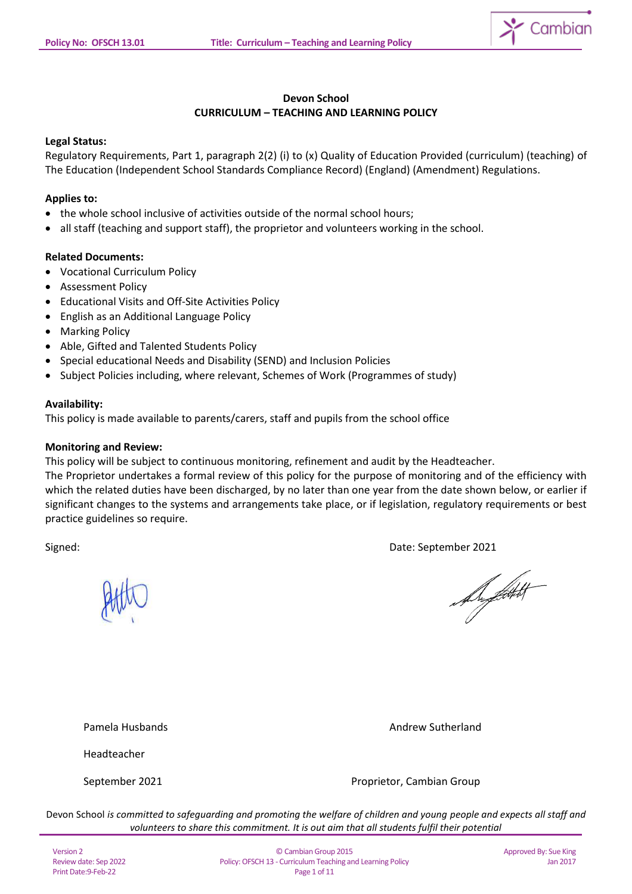

# **Devon School CURRICULUM – TEACHING AND LEARNING POLICY**

### **Legal Status:**

Regulatory Requirements, Part 1, paragraph 2(2) (i) to (x) Quality of Education Provided (curriculum) (teaching) of The Education (Independent School Standards Compliance Record) (England) (Amendment) Regulations.

### **Applies to:**

- the whole school inclusive of activities outside of the normal school hours;
- all staff (teaching and support staff), the proprietor and volunteers working in the school.

### **Related Documents:**

- Vocational Curriculum Policy
- Assessment Policy
- Educational Visits and Off-Site Activities Policy
- English as an Additional Language Policy
- Marking Policy
- Able, Gifted and Talented Students Policy
- Special educational Needs and Disability (SEND) and Inclusion Policies
- Subject Policies including, where relevant, Schemes of Work (Programmes of study)

#### **Availability:**

This policy is made available to parents/carers, staff and pupils from the school office

#### **Monitoring and Review:**

This policy will be subject to continuous monitoring, refinement and audit by the Headteacher.

The Proprietor undertakes a formal review of this policy for the purpose of monitoring and of the efficiency with which the related duties have been discharged, by no later than one year from the date shown below, or earlier if significant changes to the systems and arrangements take place, or if legislation, regulatory requirements or best practice guidelines so require.

Signed: Date: September 2021

Support

Pamela Husbands **Andrew Sutherland Pamela Husbands** Andrew Sutherland

Headteacher

September 2021 **Proprietor, Cambian Group**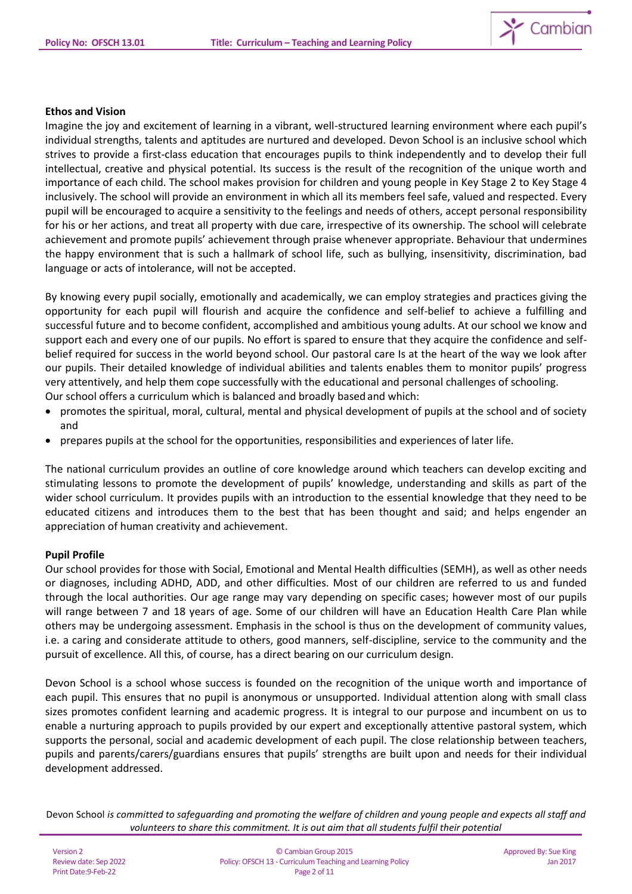

### **Ethos and Vision**

Imagine the joy and excitement of learning in a vibrant, well-structured learning environment where each pupil's individual strengths, talents and aptitudes are nurtured and developed. Devon School is an inclusive school which strives to provide a first-class education that encourages pupils to think independently and to develop their full intellectual, creative and physical potential. Its success is the result of the recognition of the unique worth and importance of each child. The school makes provision for children and young people in Key Stage 2 to Key Stage 4 inclusively. The school will provide an environment in which all its members feel safe, valued and respected. Every pupil will be encouraged to acquire a sensitivity to the feelings and needs of others, accept personal responsibility for his or her actions, and treat all property with due care, irrespective of its ownership. The school will celebrate achievement and promote pupils' achievement through praise whenever appropriate. Behaviour that undermines the happy environment that is such a hallmark of school life, such as bullying, insensitivity, discrimination, bad language or acts of intolerance, will not be accepted.

By knowing every pupil socially, emotionally and academically, we can employ strategies and practices giving the opportunity for each pupil will flourish and acquire the confidence and self-belief to achieve a fulfilling and successful future and to become confident, accomplished and ambitious young adults. At our school we know and support each and every one of our pupils. No effort is spared to ensure that they acquire the confidence and selfbelief required for success in the world beyond school. Our pastoral care Is at the heart of the way we look after our pupils. Their detailed knowledge of individual abilities and talents enables them to monitor pupils' progress very attentively, and help them cope successfully with the educational and personal challenges of schooling. Our school offers a curriculum which is balanced and broadly based and which:

- promotes the spiritual, moral, cultural, mental and physical development of pupils at the school and of society and
- prepares pupils at the school for the opportunities, responsibilities and experiences of later life.

The national curriculum provides an outline of core knowledge around which teachers can develop exciting and stimulating lessons to promote the development of pupils' knowledge, understanding and skills as part of the wider school curriculum. It provides pupils with an introduction to the essential knowledge that they need to be educated citizens and introduces them to the best that has been thought and said; and helps engender an appreciation of human creativity and achievement.

## **Pupil Profile**

Our school provides for those with Social, Emotional and Mental Health difficulties (SEMH), as well as other needs or diagnoses, including ADHD, ADD, and other difficulties. Most of our children are referred to us and funded through the local authorities. Our age range may vary depending on specific cases; however most of our pupils will range between 7 and 18 years of age. Some of our children will have an Education Health Care Plan while others may be undergoing assessment. Emphasis in the school is thus on the development of community values, i.e. a caring and considerate attitude to others, good manners, self-discipline, service to the community and the pursuit of excellence. All this, of course, has a direct bearing on our curriculum design.

Devon School is a school whose success is founded on the recognition of the unique worth and importance of each pupil. This ensures that no pupil is anonymous or unsupported. Individual attention along with small class sizes promotes confident learning and academic progress. It is integral to our purpose and incumbent on us to enable a nurturing approach to pupils provided by our expert and exceptionally attentive pastoral system, which supports the personal, social and academic development of each pupil. The close relationship between teachers, pupils and parents/carers/guardians ensures that pupils' strengths are built upon and needs for their individual development addressed.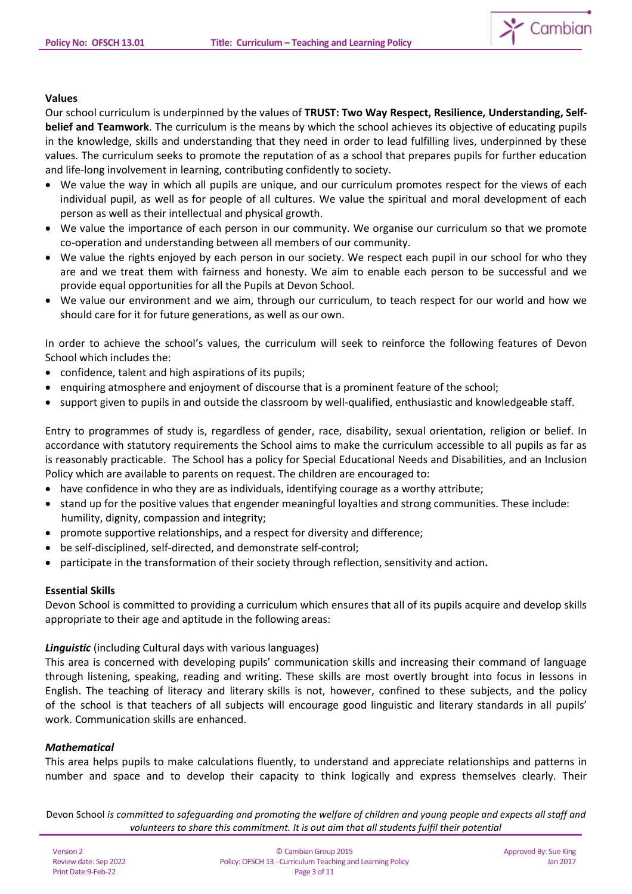

### **Values**

Our school curriculum is underpinned by the values of **TRUST: Two Way Respect, Resilience, Understanding, Selfbelief and Teamwork**. The curriculum is the means by which the school achieves its objective of educating pupils in the knowledge, skills and understanding that they need in order to lead fulfilling lives, underpinned by these values. The curriculum seeks to promote the reputation of as a school that prepares pupils for further education and life-long involvement in learning, contributing confidently to society.

- We value the way in which all pupils are unique, and our curriculum promotes respect for the views of each individual pupil, as well as for people of all cultures. We value the spiritual and moral development of each person as well as their intellectual and physical growth.
- We value the importance of each person in our community. We organise our curriculum so that we promote co-operation and understanding between all members of our community.
- We value the rights enjoyed by each person in our society. We respect each pupil in our school for who they are and we treat them with fairness and honesty. We aim to enable each person to be successful and we provide equal opportunities for all the Pupils at Devon School.
- We value our environment and we aim, through our curriculum, to teach respect for our world and how we should care for it for future generations, as well as our own.

In order to achieve the school's values, the curriculum will seek to reinforce the following features of Devon School which includes the:

- confidence, talent and high aspirations of its pupils;
- enquiring atmosphere and enjoyment of discourse that is a prominent feature of the school;
- support given to pupils in and outside the classroom by well-qualified, enthusiastic and knowledgeable staff.

Entry to programmes of study is, regardless of gender, race, disability, sexual orientation, religion or belief. In accordance with statutory requirements the School aims to make the curriculum accessible to all pupils as far as is reasonably practicable. The School has a policy for Special Educational Needs and Disabilities, and an Inclusion Policy which are available to parents on request. The children are encouraged to:

- have confidence in who they are as individuals, identifying courage as a worthy attribute;
- stand up for the positive values that engender meaningful loyalties and strong communities. These include: humility, dignity, compassion and integrity;
- promote supportive relationships, and a respect for diversity and difference;
- be self-disciplined, self-directed, and demonstrate self-control;
- participate in the transformation of their society through reflection, sensitivity and action**.**

## **Essential Skills**

Devon School is committed to providing a curriculum which ensures that all of its pupils acquire and develop skills appropriate to their age and aptitude in the following areas:

## **Linguistic** (including Cultural days with various languages)

This area is concerned with developing pupils' communication skills and increasing their command of language through listening, speaking, reading and writing. These skills are most overtly brought into focus in lessons in English. The teaching of literacy and literary skills is not, however, confined to these subjects, and the policy of the school is that teachers of all subjects will encourage good linguistic and literary standards in all pupils' work. Communication skills are enhanced.

## *Mathematical*

This area helps pupils to make calculations fluently, to understand and appreciate relationships and patterns in number and space and to develop their capacity to think logically and express themselves clearly. Their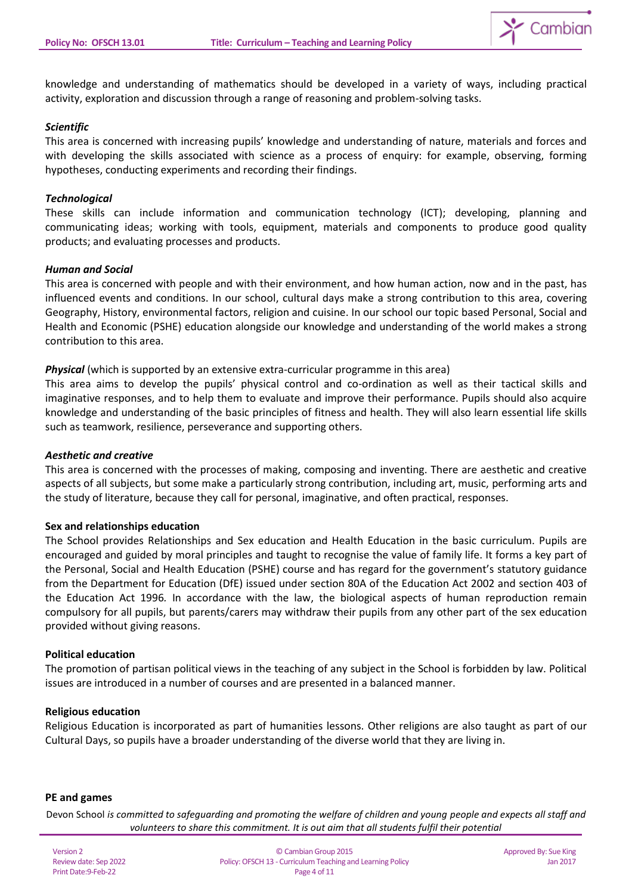

knowledge and understanding of mathematics should be developed in a variety of ways, including practical activity, exploration and discussion through a range of reasoning and problem-solving tasks.

### *Scientific*

This area is concerned with increasing pupils' knowledge and understanding of nature, materials and forces and with developing the skills associated with science as a process of enquiry: for example, observing, forming hypotheses, conducting experiments and recording their findings.

#### *Technological*

These skills can include information and communication technology (ICT); developing, planning and communicating ideas; working with tools, equipment, materials and components to produce good quality products; and evaluating processes and products.

#### *Human and Social*

This area is concerned with people and with their environment, and how human action, now and in the past, has influenced events and conditions. In our school, cultural days make a strong contribution to this area, covering Geography, History, environmental factors, religion and cuisine. In our school our topic based Personal, Social and Health and Economic (PSHE) education alongside our knowledge and understanding of the world makes a strong contribution to this area.

### *Physical* (which is supported by an extensive extra-curricular programme in this area)

This area aims to develop the pupils' physical control and co-ordination as well as their tactical skills and imaginative responses, and to help them to evaluate and improve their performance. Pupils should also acquire knowledge and understanding of the basic principles of fitness and health. They will also learn essential life skills such as teamwork, resilience, perseverance and supporting others.

#### *Aesthetic and creative*

This area is concerned with the processes of making, composing and inventing. There are aesthetic and creative aspects of all subjects, but some make a particularly strong contribution, including art, music, performing arts and the study of literature, because they call for personal, imaginative, and often practical, responses.

#### **Sex and relationships education**

The School provides Relationships and Sex education and Health Education in the basic curriculum. Pupils are encouraged and guided by moral principles and taught to recognise the value of family life. It forms a key part of the Personal, Social and Health Education (PSHE) course and has regard for the government's statutory guidance from the Department for Education (DfE) issued under section 80A of the Education Act 2002 and section 403 of the Education Act 1996*.* In accordance with the law, the biological aspects of human reproduction remain compulsory for all pupils, but parents/carers may withdraw their pupils from any other part of the sex education provided without giving reasons.

#### **Political education**

The promotion of partisan political views in the teaching of any subject in the School is forbidden by law. Political issues are introduced in a number of courses and are presented in a balanced manner.

#### **Religious education**

Religious Education is incorporated as part of humanities lessons. Other religions are also taught as part of our Cultural Days, so pupils have a broader understanding of the diverse world that they are living in.

#### **PE and games**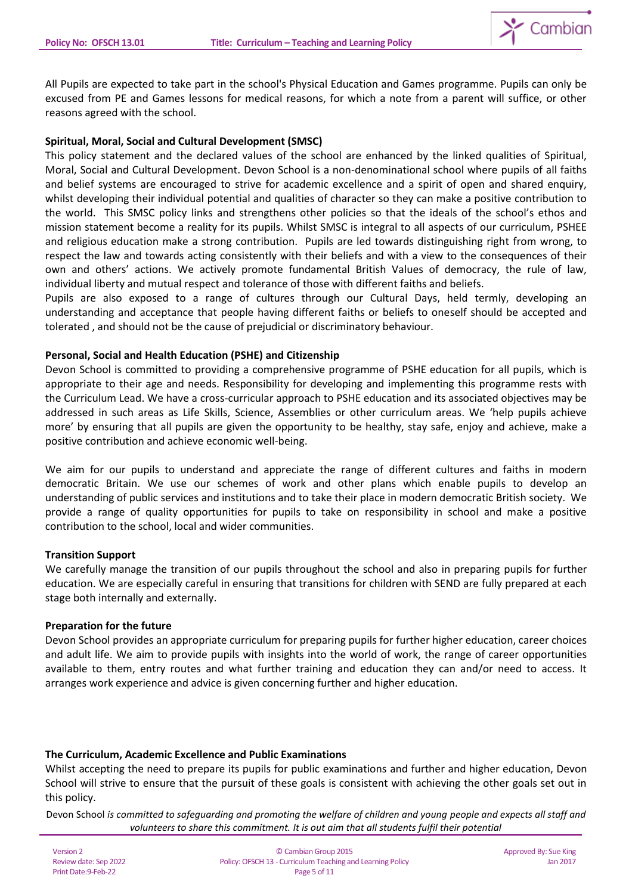

All Pupils are expected to take part in the school's Physical Education and Games programme. Pupils can only be excused from PE and Games lessons for medical reasons, for which a note from a parent will suffice, or other reasons agreed with the school.

## **Spiritual, Moral, Social and Cultural Development (SMSC)**

This policy statement and the declared values of the school are enhanced by the linked qualities of Spiritual, Moral, Social and Cultural Development. Devon School is a non-denominational school where pupils of all faiths and belief systems are encouraged to strive for academic excellence and a spirit of open and shared enquiry, whilst developing their individual potential and qualities of character so they can make a positive contribution to the world. This SMSC policy links and strengthens other policies so that the ideals of the school's ethos and mission statement become a reality for its pupils. Whilst SMSC is integral to all aspects of our curriculum, PSHEE and religious education make a strong contribution. Pupils are led towards distinguishing right from wrong, to respect the law and towards acting consistently with their beliefs and with a view to the consequences of their own and others' actions. We actively promote fundamental British Values of democracy, the rule of law, individual liberty and mutual respect and tolerance of those with different faiths and beliefs.

Pupils are also exposed to a range of cultures through our Cultural Days, held termly, developing an understanding and acceptance that people having different faiths or beliefs to oneself should be accepted and tolerated , and should not be the cause of prejudicial or discriminatory behaviour.

### **Personal, Social and Health Education (PSHE) and Citizenship**

Devon School is committed to providing a comprehensive programme of PSHE education for all pupils, which is appropriate to their age and needs. Responsibility for developing and implementing this programme rests with the Curriculum Lead. We have a cross-curricular approach to PSHE education and its associated objectives may be addressed in such areas as Life Skills, Science, Assemblies or other curriculum areas. We 'help pupils achieve more' by ensuring that all pupils are given the opportunity to be healthy, stay safe, enjoy and achieve, make a positive contribution and achieve economic well-being.

We aim for our pupils to understand and appreciate the range of different cultures and faiths in modern democratic Britain. We use our schemes of work and other plans which enable pupils to develop an understanding of public services and institutions and to take their place in modern democratic British society. We provide a range of quality opportunities for pupils to take on responsibility in school and make a positive contribution to the school, local and wider communities.

#### **Transition Support**

We carefully manage the transition of our pupils throughout the school and also in preparing pupils for further education. We are especially careful in ensuring that transitions for children with SEND are fully prepared at each stage both internally and externally.

#### **Preparation for the future**

Devon School provides an appropriate curriculum for preparing pupils for further higher education, career choices and adult life. We aim to provide pupils with insights into the world of work, the range of career opportunities available to them, entry routes and what further training and education they can and/or need to access. It arranges work experience and advice is given concerning further and higher education.

## **The Curriculum, Academic Excellence and Public Examinations**

Whilst accepting the need to prepare its pupils for public examinations and further and higher education, Devon School will strive to ensure that the pursuit of these goals is consistent with achieving the other goals set out in this policy.

| Version 2             |
|-----------------------|
| Review date: Sep 2022 |
| Print Date: 9-Feb-22  |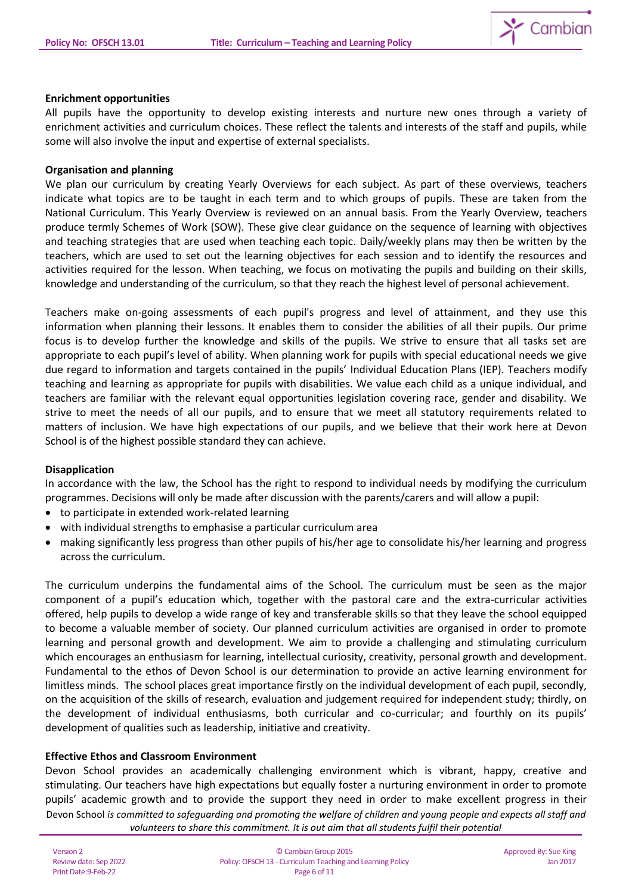

#### **Enrichment opportunities**

All pupils have the opportunity to develop existing interests and nurture new ones through a variety of enrichment activities and curriculum choices. These reflect the talents and interests of the staff and pupils, while some will also involve the input and expertise of external specialists.

### **Organisation and planning**

We plan our curriculum by creating Yearly Overviews for each subject. As part of these overviews, teachers indicate what topics are to be taught in each term and to which groups of pupils. These are taken from the National Curriculum. This Yearly Overview is reviewed on an annual basis. From the Yearly Overview, teachers produce termly Schemes of Work (SOW). These give clear guidance on the sequence of learning with objectives and teaching strategies that are used when teaching each topic. Daily/weekly plans may then be written by the teachers, which are used to set out the learning objectives for each session and to identify the resources and activities required for the lesson. When teaching, we focus on motivating the pupils and building on their skills, knowledge and understanding of the curriculum, so that they reach the highest level of personal achievement.

Teachers make on-going assessments of each pupil's progress and level of attainment, and they use this information when planning their lessons. It enables them to consider the abilities of all their pupils. Our prime focus is to develop further the knowledge and skills of the pupils. We strive to ensure that all tasks set are appropriate to each pupil's level of ability. When planning work for pupils with special educational needs we give due regard to information and targets contained in the pupils' Individual Education Plans (IEP). Teachers modify teaching and learning as appropriate for pupils with disabilities. We value each child as a unique individual, and teachers are familiar with the relevant equal opportunities legislation covering race, gender and disability. We strive to meet the needs of all our pupils, and to ensure that we meet all statutory requirements related to matters of inclusion. We have high expectations of our pupils, and we believe that their work here at Devon School is of the highest possible standard they can achieve.

#### **Disapplication**

In accordance with the law, the School has the right to respond to individual needs by modifying the curriculum programmes. Decisions will only be made after discussion with the parents/carers and will allow a pupil:

- to participate in extended work-related learning
- with individual strengths to emphasise a particular curriculum area
- making significantly less progress than other pupils of his/her age to consolidate his/her learning and progress across the curriculum.

The curriculum underpins the fundamental aims of the School. The curriculum must be seen as the major component of a pupil's education which, together with the pastoral care and the extra-curricular activities offered, help pupils to develop a wide range of key and transferable skills so that they leave the school equipped to become a valuable member of society. Our planned curriculum activities are organised in order to promote learning and personal growth and development. We aim to provide a challenging and stimulating curriculum which encourages an enthusiasm for learning, intellectual curiosity, creativity, personal growth and development. Fundamental to the ethos of Devon School is our determination to provide an active learning environment for limitless minds. The school places great importance firstly on the individual development of each pupil, secondly, on the acquisition of the skills of research, evaluation and judgement required for independent study; thirdly, on the development of individual enthusiasms, both curricular and co-curricular; and fourthly on its pupils' development of qualities such as leadership, initiative and creativity.

## **Effective Ethos and Classroom Environment**

Devon School *is committed to safeguarding and promoting the welfare of children and young people and expects all staff and volunteers to share this commitment. It is out aim that all students fulfil their potential* Devon School provides an academically challenging environment which is vibrant, happy, creative and stimulating. Our teachers have high expectations but equally foster a nurturing environment in order to promote pupils' academic growth and to provide the support they need in order to make excellent progress in their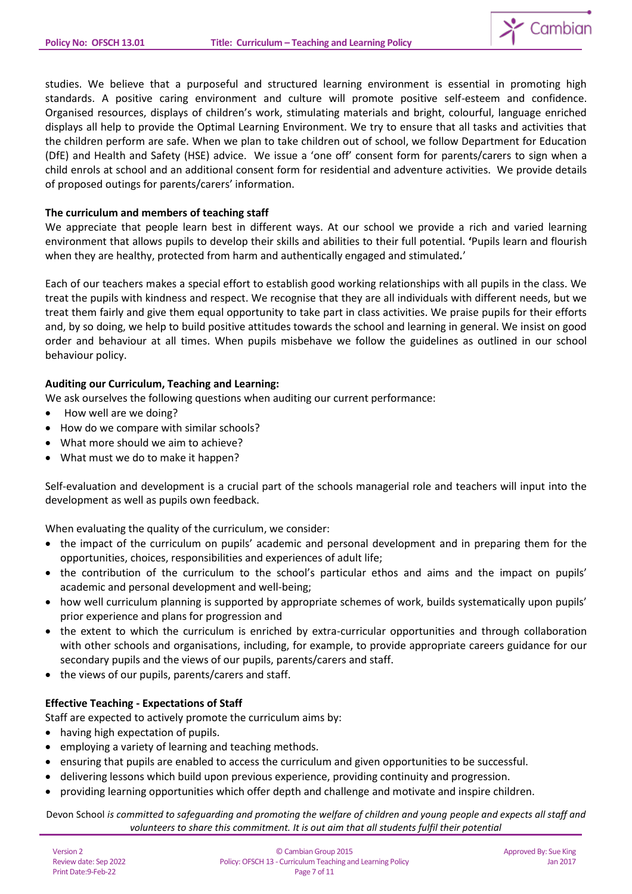studies. We believe that a purposeful and structured learning environment is essential in promoting high standards. A positive caring environment and culture will promote positive self-esteem and confidence. Organised resources, displays of children's work, stimulating materials and bright, colourful, language enriched displays all help to provide the Optimal Learning Environment. We try to ensure that all tasks and activities that the children perform are safe. When we plan to take children out of school, we follow Department for Education (DfE) and Health and Safety (HSE) advice. We issue a 'one off' consent form for parents/carers to sign when a child enrols at school and an additional consent form for residential and adventure activities. We provide details of proposed outings for parents/carers' information.

## **The curriculum and members of teaching staff**

We appreciate that people learn best in different ways. At our school we provide a rich and varied learning environment that allows pupils to develop their skills and abilities to their full potential. **'**Pupils learn and flourish when they are healthy, protected from harm and authentically engaged and stimulated*.*'

Each of our teachers makes a special effort to establish good working relationships with all pupils in the class. We treat the pupils with kindness and respect. We recognise that they are all individuals with different needs, but we treat them fairly and give them equal opportunity to take part in class activities. We praise pupils for their efforts and, by so doing, we help to build positive attitudes towards the school and learning in general. We insist on good order and behaviour at all times. When pupils misbehave we follow the guidelines as outlined in our school behaviour policy.

# **Auditing our Curriculum, Teaching and Learning:**

We ask ourselves the following questions when auditing our current performance:

- How well are we doing?
- How do we compare with similar schools?
- What more should we aim to achieve?
- What must we do to make it happen?

Self-evaluation and development is a crucial part of the schools managerial role and teachers will input into the development as well as pupils own feedback.

When evaluating the quality of the curriculum, we consider:

- the impact of the curriculum on pupils' academic and personal development and in preparing them for the opportunities, choices, responsibilities and experiences of adult life;
- the contribution of the curriculum to the school's particular ethos and aims and the impact on pupils' academic and personal development and well-being;
- how well curriculum planning is supported by appropriate schemes of work, builds systematically upon pupils' prior experience and plans for progression and
- the extent to which the curriculum is enriched by extra-curricular opportunities and through collaboration with other schools and organisations, including, for example, to provide appropriate careers guidance for our secondary pupils and the views of our pupils, parents/carers and staff.
- the views of our pupils, parents/carers and staff.

# **Effective Teaching - Expectations of Staff**

Staff are expected to actively promote the curriculum aims by:

- having high expectation of pupils.
- employing a variety of learning and teaching methods.
- ensuring that pupils are enabled to access the curriculum and given opportunities to be successful.
- delivering lessons which build upon previous experience, providing continuity and progression.
- providing learning opportunities which offer depth and challenge and motivate and inspire children.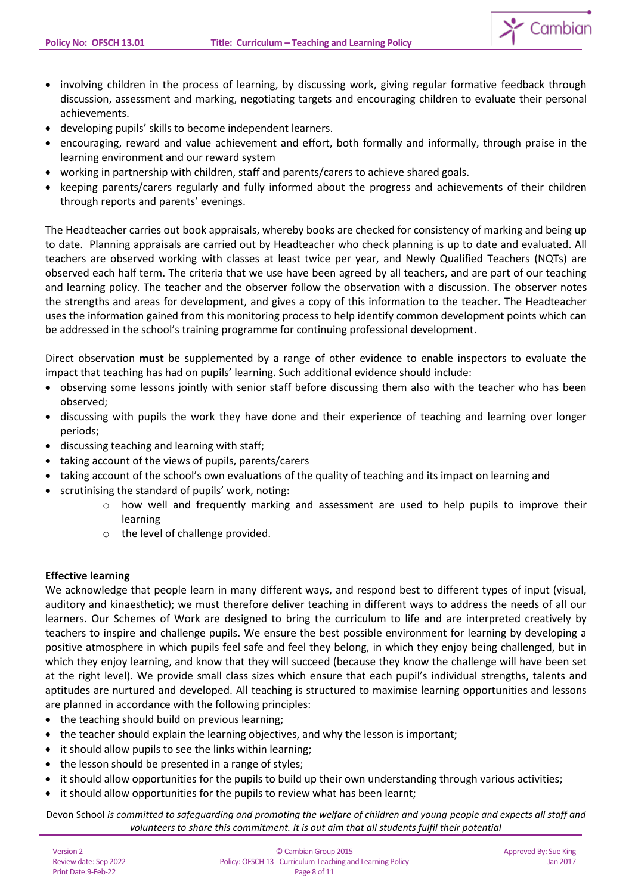

- developing pupils' skills to become independent learners.
- encouraging, reward and value achievement and effort, both formally and informally, through praise in the learning environment and our reward system
- working in partnership with children, staff and parents/carers to achieve shared goals.
- keeping parents/carers regularly and fully informed about the progress and achievements of their children through reports and parents' evenings.

The Headteacher carries out book appraisals, whereby books are checked for consistency of marking and being up to date. Planning appraisals are carried out by Headteacher who check planning is up to date and evaluated. All teachers are observed working with classes at least twice per year, and Newly Qualified Teachers (NQTs) are observed each half term. The criteria that we use have been agreed by all teachers, and are part of our teaching and learning policy. The teacher and the observer follow the observation with a discussion. The observer notes the strengths and areas for development, and gives a copy of this information to the teacher. The Headteacher uses the information gained from this monitoring process to help identify common development points which can be addressed in the school's training programme for continuing professional development.

Direct observation **must** be supplemented by a range of other evidence to enable inspectors to evaluate the impact that teaching has had on pupils' learning. Such additional evidence should include:

- observing some lessons jointly with senior staff before discussing them also with the teacher who has been observed;
- discussing with pupils the work they have done and their experience of teaching and learning over longer periods;
- discussing teaching and learning with staff;
- taking account of the views of pupils, parents/carers
- taking account of the school's own evaluations of the quality of teaching and its impact on learning and
- scrutinising the standard of pupils' work, noting:
	- o how well and frequently marking and assessment are used to help pupils to improve their learning
	- o the level of challenge provided.

## **Effective learning**

We acknowledge that people learn in many different ways, and respond best to different types of input (visual, auditory and kinaesthetic); we must therefore deliver teaching in different ways to address the needs of all our learners. Our Schemes of Work are designed to bring the curriculum to life and are interpreted creatively by teachers to inspire and challenge pupils. We ensure the best possible environment for learning by developing a positive atmosphere in which pupils feel safe and feel they belong, in which they enjoy being challenged, but in which they enjoy learning, and know that they will succeed (because they know the challenge will have been set at the right level). We provide small class sizes which ensure that each pupil's individual strengths, talents and aptitudes are nurtured and developed. All teaching is structured to maximise learning opportunities and lessons are planned in accordance with the following principles:

- the teaching should build on previous learning;
- the teacher should explain the learning objectives, and why the lesson is important;
- it should allow pupils to see the links within learning;
- the lesson should be presented in a range of styles;
- it should allow opportunities for the pupils to build up their own understanding through various activities;
- it should allow opportunities for the pupils to review what has been learnt;

Devon School *is committed to safeguarding and promoting the welfare of children and young people and expects all staff and volunteers to share this commitment. It is out aim that all students fulfil their potential*

| <b>Version 2</b>      |  |
|-----------------------|--|
| Review date: Sep 2022 |  |
| Print Date: 9-Feb-22  |  |

 $\sum$  Cambian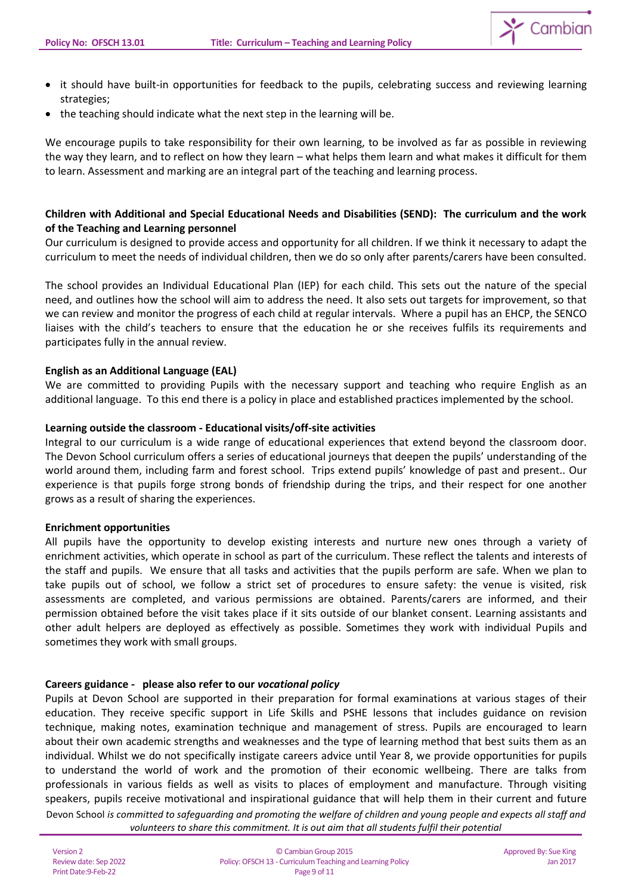

- it should have built-in opportunities for feedback to the pupils, celebrating success and reviewing learning strategies;
- the teaching should indicate what the next step in the learning will be.

We encourage pupils to take responsibility for their own learning, to be involved as far as possible in reviewing the way they learn, and to reflect on how they learn – what helps them learn and what makes it difficult for them to learn. Assessment and marking are an integral part of the teaching and learning process.

## **Children with Additional and Special Educational Needs and Disabilities (SEND): The curriculum and the work of the Teaching and Learning personnel**

Our curriculum is designed to provide access and opportunity for all children. If we think it necessary to adapt the curriculum to meet the needs of individual children, then we do so only after parents/carers have been consulted.

The school provides an Individual Educational Plan (IEP) for each child. This sets out the nature of the special need, and outlines how the school will aim to address the need. It also sets out targets for improvement, so that we can review and monitor the progress of each child at regular intervals. Where a pupil has an EHCP, the SENCO liaises with the child's teachers to ensure that the education he or she receives fulfils its requirements and participates fully in the annual review.

## **English as an Additional Language (EAL)**

We are committed to providing Pupils with the necessary support and teaching who require English as an additional language. To this end there is a policy in place and established practices implemented by the school.

### **Learning outside the classroom - Educational visits/off-site activities**

Integral to our curriculum is a wide range of educational experiences that extend beyond the classroom door. The Devon School curriculum offers a series of educational journeys that deepen the pupils' understanding of the world around them, including farm and forest school. Trips extend pupils' knowledge of past and present.. Our experience is that pupils forge strong bonds of friendship during the trips, and their respect for one another grows as a result of sharing the experiences.

#### **Enrichment opportunities**

All pupils have the opportunity to develop existing interests and nurture new ones through a variety of enrichment activities, which operate in school as part of the curriculum. These reflect the talents and interests of the staff and pupils. We ensure that all tasks and activities that the pupils perform are safe. When we plan to take pupils out of school, we follow a strict set of procedures to ensure safety: the venue is visited, risk assessments are completed, and various permissions are obtained. Parents/carers are informed, and their permission obtained before the visit takes place if it sits outside of our blanket consent. Learning assistants and other adult helpers are deployed as effectively as possible. Sometimes they work with individual Pupils and sometimes they work with small groups.

## **Careers guidance - please also refer to our** *vocational policy*

Devon School *is committed to safeguarding and promoting the welfare of children and young people and expects all staff and*  Pupils at Devon School are supported in their preparation for formal examinations at various stages of their education. They receive specific support in Life Skills and PSHE lessons that includes guidance on revision technique, making notes, examination technique and management of stress. Pupils are encouraged to learn about their own academic strengths and weaknesses and the type of learning method that best suits them as an individual. Whilst we do not specifically instigate careers advice until Year 8, we provide opportunities for pupils to understand the world of work and the promotion of their economic wellbeing. There are talks from professionals in various fields as well as visits to places of employment and manufacture. Through visiting speakers, pupils receive motivational and inspirational guidance that will help them in their current and future

*volunteers to share this commitment. It is out aim that all students fulfil their potential*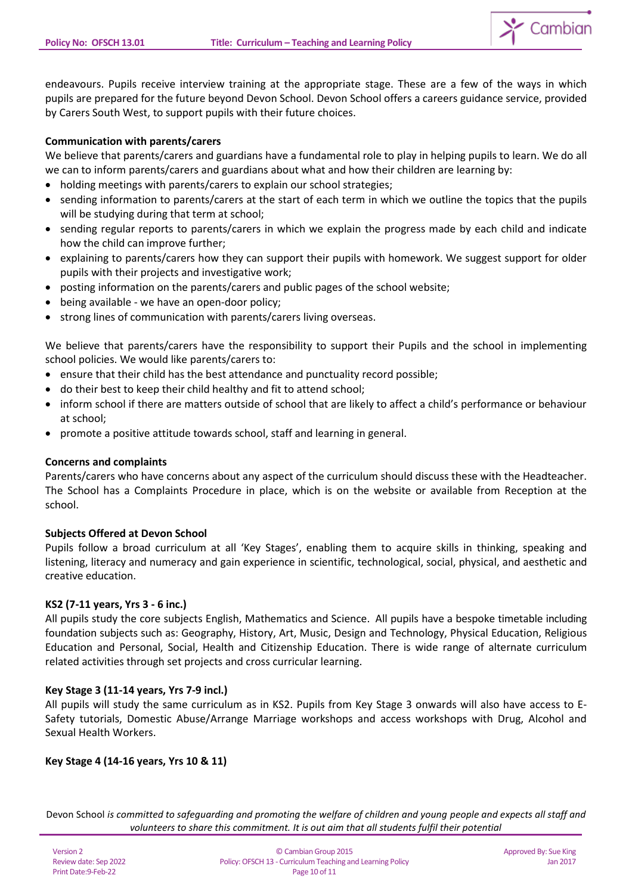

endeavours. Pupils receive interview training at the appropriate stage. These are a few of the ways in which pupils are prepared for the future beyond Devon School. Devon School offers a careers guidance service, provided by Carers South West, to support pupils with their future choices.

## **Communication with parents/carers**

We believe that parents/carers and guardians have a fundamental role to play in helping pupils to learn. We do all we can to inform parents/carers and guardians about what and how their children are learning by:

- holding meetings with parents/carers to explain our school strategies;
- sending information to parents/carers at the start of each term in which we outline the topics that the pupils will be studying during that term at school;
- sending regular reports to parents/carers in which we explain the progress made by each child and indicate how the child can improve further;
- explaining to parents/carers how they can support their pupils with homework. We suggest support for older pupils with their projects and investigative work;
- posting information on the parents/carers and public pages of the school website;
- being available we have an open-door policy;
- strong lines of communication with parents/carers living overseas.

We believe that parents/carers have the responsibility to support their Pupils and the school in implementing school policies. We would like parents/carers to:

- ensure that their child has the best attendance and punctuality record possible;
- do their best to keep their child healthy and fit to attend school;
- inform school if there are matters outside of school that are likely to affect a child's performance or behaviour at school;
- promote a positive attitude towards school, staff and learning in general.

## **Concerns and complaints**

Parents/carers who have concerns about any aspect of the curriculum should discuss these with the Headteacher. The School has a Complaints Procedure in place, which is on the website or available from Reception at the school.

## **Subjects Offered at Devon School**

Pupils follow a broad curriculum at all 'Key Stages', enabling them to acquire skills in thinking, speaking and listening, literacy and numeracy and gain experience in scientific, technological, social, physical, and aesthetic and creative education.

## **KS2 (7-11 years, Yrs 3 - 6 inc.)**

All pupils study the core subjects English, Mathematics and Science. All pupils have a bespoke timetable including foundation subjects such as: Geography, History, Art, Music, Design and Technology, Physical Education, Religious Education and Personal, Social, Health and Citizenship Education. There is wide range of alternate curriculum related activities through set projects and cross curricular learning.

## **Key Stage 3 (11-14 years, Yrs 7-9 incl.)**

All pupils will study the same curriculum as in KS2. Pupils from Key Stage 3 onwards will also have access to E-Safety tutorials, Domestic Abuse/Arrange Marriage workshops and access workshops with Drug, Alcohol and Sexual Health Workers.

## **Key Stage 4 (14-16 years, Yrs 10 & 11)**